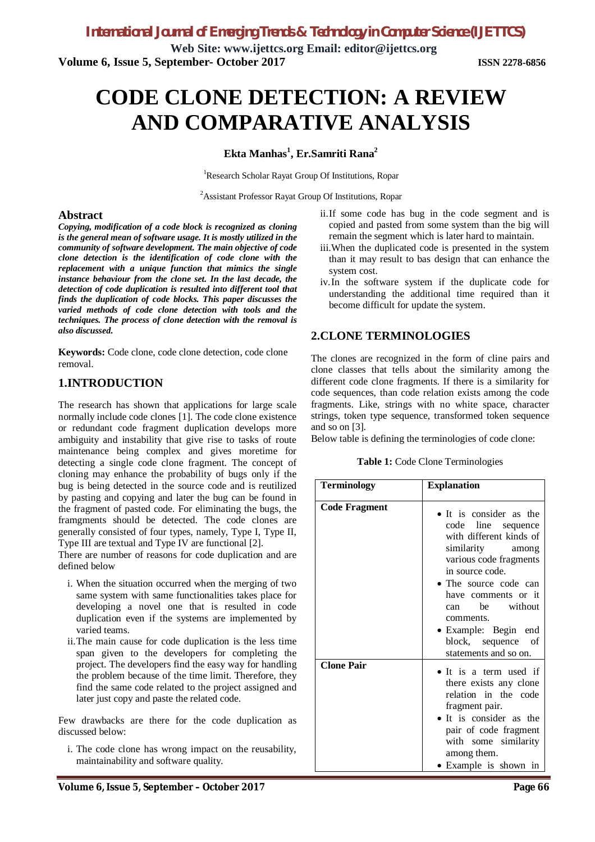**Web Site: www.ijettcs.org Email: editor@ijettcs.org Volume 6, Issue 5, September- October 2017 ISSN 2278-6856**

# **CODE CLONE DETECTION: A REVIEW AND COMPARATIVE ANALYSIS**

#### **Ekta Manhas<sup>1</sup> , Er.Samriti Rana<sup>2</sup>**

<sup>1</sup>Research Scholar Rayat Group Of Institutions, Ropar

<sup>2</sup>Assistant Professor Rayat Group Of Institutions, Ropar

#### **Abstract**

*Copying, modification of a code block is recognized as cloning is the general mean of software usage. It is mostly utilized in the community of software development. The main objective of code clone detection is the identification of code clone with the replacement with a unique function that mimics the single instance behaviour from the clone set. In the last decade, the detection of code duplication is resulted into different tool that finds the duplication of code blocks. This paper discusses the varied methods of code clone detection with tools and the techniques. The process of clone detection with the removal is also discussed***.**

**Keywords:** Code clone, code clone detection, code clone removal.

# **1.INTRODUCTION**

The research has shown that applications for large scale normally include code clones [1]. The code clone existence or redundant code fragment duplication develops more ambiguity and instability that give rise to tasks of route maintenance being complex and gives moretime for detecting a single code clone fragment. The concept of cloning may enhance the probability of bugs only if the bug is being detected in the source code and is reutilized by pasting and copying and later the bug can be found in the fragment of pasted code. For eliminating the bugs, the framgments should be detected. The code clones are generally consisted of four types, namely, Type I, Type II, Type III are textual and Type IV are functional [2].

There are number of reasons for code duplication and are defined below

- i. When the situation occurred when the merging of two same system with same functionalities takes place for developing a novel one that is resulted in code duplication even if the systems are implemented by varied teams.
- ii.The main cause for code duplication is the less time span given to the developers for completing the project. The developers find the easy way for handling the problem because of the time limit. Therefore, they find the same code related to the project assigned and later just copy and paste the related code.

Few drawbacks are there for the code duplication as discussed below:

i. The code clone has wrong impact on the reusability, maintainability and software quality.

- ii.If some code has bug in the code segment and is copied and pasted from some system than the big will remain the segment which is later hard to maintain.
- iii.When the duplicated code is presented in the system than it may result to bas design that can enhance the system cost.
- iv.In the software system if the duplicate code for understanding the additional time required than it become difficult for update the system.

# **2.CLONE TERMINOLOGIES**

The clones are recognized in the form of cline pairs and clone classes that tells about the similarity among the different code clone fragments. If there is a similarity for code sequences, than code relation exists among the code fragments. Like, strings with no white space, character strings, token type sequence, transformed token sequence and so on [3].

Below table is defining the terminologies of code clone:

| Table 1: Code Clone Terminologies |  |
|-----------------------------------|--|
|-----------------------------------|--|

| <b>Terminology</b>   | <b>Explanation</b>                                                                                                                                                                                                                                                                                 |  |  |
|----------------------|----------------------------------------------------------------------------------------------------------------------------------------------------------------------------------------------------------------------------------------------------------------------------------------------------|--|--|
| <b>Code Fragment</b> | • It is consider as the<br>code line sequence<br>with different kinds of<br>similarity among<br>various code fragments<br>in source code.<br>• The source code can<br>have comments or it<br>be without<br>can<br>comments.<br>• Example: Begin end<br>block, sequence of<br>statements and so on. |  |  |
| <b>Clone Pair</b>    | • It is a term used if<br>there exists any clone<br>relation in the code<br>fragment pair.<br>• It is consider as the<br>pair of code fragment<br>with some similarity<br>among them.<br>• Example is shown in                                                                                     |  |  |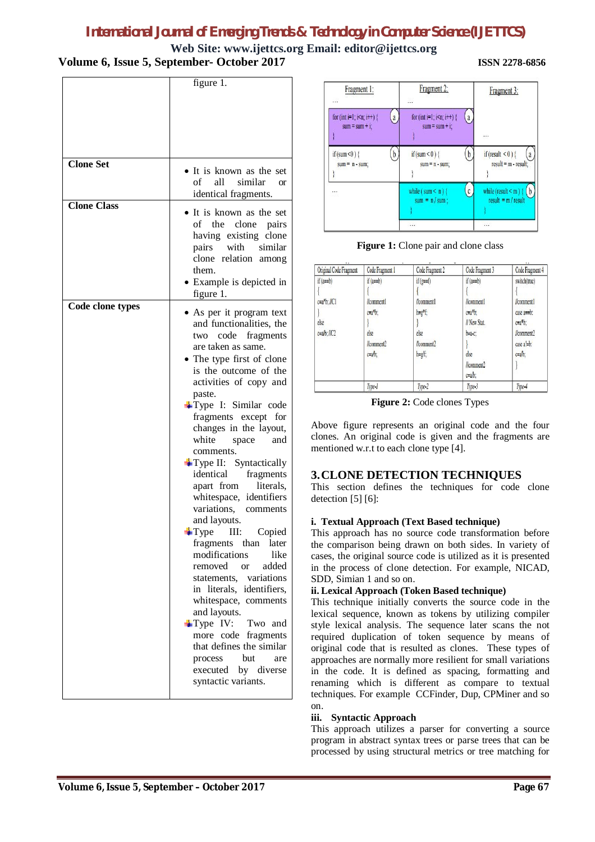# *International Journal of Emerging Trends & Technology in Computer Science (IJETTCS)*

#### **Web Site: www.ijettcs.org Email: editor@ijettcs.org Volume 6, Issue 5, September- October 2017 ISSN 2278-6856**

|                    | figure 1.                                                                                                                                                                                                                                                                                                                                                                                                                                                                                                                                                                                                                                                                                                                                                                                                                                                       |
|--------------------|-----------------------------------------------------------------------------------------------------------------------------------------------------------------------------------------------------------------------------------------------------------------------------------------------------------------------------------------------------------------------------------------------------------------------------------------------------------------------------------------------------------------------------------------------------------------------------------------------------------------------------------------------------------------------------------------------------------------------------------------------------------------------------------------------------------------------------------------------------------------|
|                    |                                                                                                                                                                                                                                                                                                                                                                                                                                                                                                                                                                                                                                                                                                                                                                                                                                                                 |
| <b>Clone Set</b>   | • It is known as the set<br>$\sigma$<br>all similar<br><b>or</b><br>identical fragments.                                                                                                                                                                                                                                                                                                                                                                                                                                                                                                                                                                                                                                                                                                                                                                        |
| <b>Clone Class</b> | • It is known as the set<br>of the clone pairs<br>having existing clone<br>with similar<br>pairs<br>clone relation among<br>them.<br>• Example is depicted in<br>figure 1.                                                                                                                                                                                                                                                                                                                                                                                                                                                                                                                                                                                                                                                                                      |
| Code clone types   | • As per it program text<br>and functionalities, the<br>code<br>two<br>fragments<br>are taken as same.<br>The type first of clone<br>is the outcome of the<br>activities of copy and<br>paste.<br>Type I: Similar code<br>fragments except for<br>changes in the layout,<br>white<br>and<br>space<br>comments.<br>$+$ Type II: Syntactically<br>identical<br>fragments<br>literals,<br>apart from<br>whitespace, identifiers<br>variations.<br>comments<br>and layouts.<br>III:<br>$T$ ype<br>Copied<br>fragments than later<br>modifications<br>like<br>added<br>removed<br>$\alpha$ <sup>r</sup><br>statements, variations<br>in literals, identifiers,<br>whitespace, comments<br>and layouts.<br>$+$ Type IV:<br>Two<br>and<br>more code<br>fragments<br>that defines the similar<br>but<br>process<br>are<br>executed<br>by diverse<br>syntactic variants. |



**Figure 1:** Clone pair and clone class

| Original Code Fragment                                | Code Fragment 1                                                                 | Code Fragment 2                                                        | Code Fragment 3                                                                                        | Code Fragment 4                                                                                        |
|-------------------------------------------------------|---------------------------------------------------------------------------------|------------------------------------------------------------------------|--------------------------------------------------------------------------------------------------------|--------------------------------------------------------------------------------------------------------|
| $if(a=b)$<br>$c=a*b$ ; //C1<br>else<br>$c=a/b$ ; //C2 | if $(a= b)$<br>//comment1<br>$c=a*b$ :<br>else<br>$l$ comment $2$<br>$c = ab$ : | $if(g=f)$<br>//comment1<br>h=g*f;<br>else<br>$l$ comment $2$<br>$h=gf$ | if $(a=b)$<br>//comment1<br>$c=a*b$ :<br>// New Stat.<br>$b=a-c$ :<br>else<br>//comment2<br>$c = ab$ : | switch(true)<br>//comment1<br>case $a=b$ :<br>$c=a*b$ :<br>$l$ comment $2$<br>case a!=b:<br>$c = ab$ : |
|                                                       | Type-1                                                                          | Type-2                                                                 | Type-3                                                                                                 | Type-4                                                                                                 |

**Figure 2:** Code clones Types

Above figure represents an original code and the four clones. An original code is given and the fragments are mentioned w.r.t to each clone type [4].

#### **3.CLONE DETECTION TECHNIQUES**

This section defines the techniques for code clone detection [5] [6]:

#### **i. Textual Approach (Text Based technique)**

This approach has no source code transformation before the comparison being drawn on both sides. In variety of cases, the original source code is utilized as it is presented in the process of clone detection. For example, NICAD, SDD, Simian 1 and so on.

#### **ii. Lexical Approach (Token Based technique)**

This technique initially converts the source code in the lexical sequence, known as tokens by utilizing compiler style lexical analysis. The sequence later scans the not required duplication of token sequence by means of original code that is resulted as clones. These types of approaches are normally more resilient for small variations in the code. It is defined as spacing, formatting and renaming which is different as compare to textual techniques. For example CCFinder, Dup, CPMiner and so on.

#### **iii. Syntactic Approach**

This approach utilizes a parser for converting a source program in abstract syntax trees or parse trees that can be processed by using structural metrics or tree matching for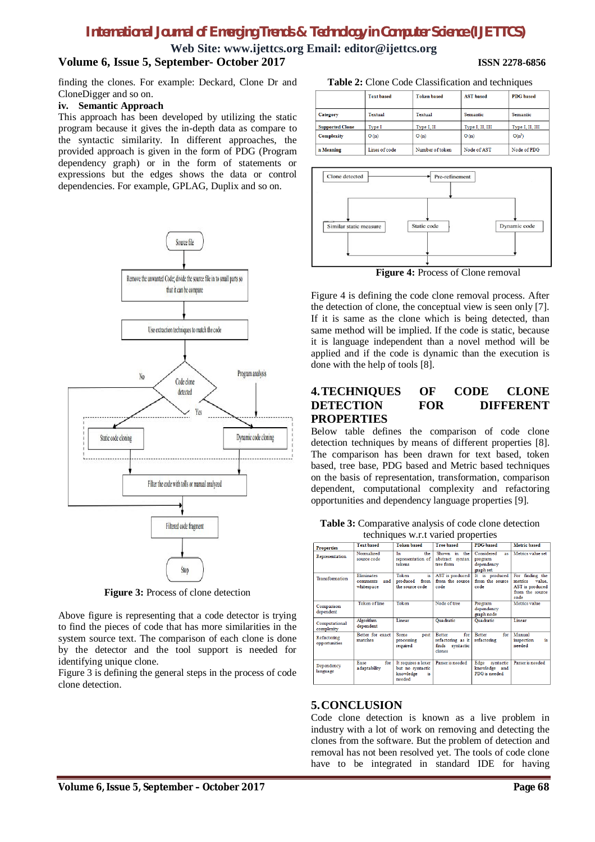# *International Journal of Emerging Trends & Technology in Computer Science (IJETTCS)*

**Web Site: www.ijettcs.org Email: editor@ijettcs.org**

# **Volume 6, Issue 5, September- October 2017 ISSN 2278-6856**

finding the clones. For example: Deckard, Clone Dr and CloneDigger and so on.

#### **iv. Semantic Approach**

This approach has been developed by utilizing the static program because it gives the in-depth data as compare to the syntactic similarity. In different approaches, the provided approach is given in the form of PDG (Program dependency graph) or in the form of statements or expressions but the edges shows the data or control dependencies. For example, GPLAG, Duplix and so on.



**Figure 3:** Process of clone detection

Above figure is representing that a code detector is trying to find the pieces of code that has more similarities in the system source text. The comparison of each clone is done by the detector and the tool support is needed for identifying unique clone.

Figure 3 is defining the general steps in the process of code clone detection.

**Table 2:** Clone Code Classification and techniques

|                        | <b>Text based</b> | <b>Token</b> based | <b>AST</b> based | <b>PDG</b> based |
|------------------------|-------------------|--------------------|------------------|------------------|
| Category               | Textual           | Textual            | Semantic         | Semantic         |
| <b>Supported Clone</b> | Type I            | Type I, II         | Type I, II, III  | Type I, II, III  |
| <b>Complexity</b>      | O(n)              | O(n)               | O(n)             | $O(n^3)$         |
| n Meaning              | Lines of code     | Number of token    | Node of AST      | Node of PDG      |



**Figure 4:** Process of Clone removal

Figure 4 is defining the code clone removal process. After the detection of clone, the conceptual view is seen only [7]. If it is same as the clone which is being detected, than same method will be implied. If the code is static, because it is language independent than a novel method will be applied and if the code is dynamic than the execution is done with the help of tools [8].

#### **4.TECHNIQUES OF CODE CLONE DETECTION FOR DIFFERENT PROPERTIES**

Below table defines the comparison of code clone detection techniques by means of different properties [8]. The comparison has been drawn for text based, token based, tree base, PDG based and Metric based techniques on the basis of representation, transformation, comparison dependent, computational complexity and refactoring opportunities and dependency language properties [9].

|  |  | Table 3: Comparative analysis of code clone detection |
|--|--|-------------------------------------------------------|
|  |  |                                                       |

| techniques w.r.t varied properties |                                                    |                                                                       |                                                                        |                                                               |                                                                                    |
|------------------------------------|----------------------------------------------------|-----------------------------------------------------------------------|------------------------------------------------------------------------|---------------------------------------------------------------|------------------------------------------------------------------------------------|
| <b>Properties</b>                  | <b>Text</b> hased                                  | <b>Token</b> hased                                                    | <b>Tree hased</b>                                                      | <b>PDG</b> based                                              | <b>Metric</b> based                                                                |
| Representation                     | Normalized<br>source code                          | Тn.<br>the<br>representation of<br>tokens                             | in.<br>Shown<br>the<br>abstract syntax<br>tree form                    | Considered<br><b>as</b><br>program<br>dependency<br>graph set | Metrics value set                                                                  |
| <b>Transformation</b>              | <b>Eliminates</b><br>and<br>comments<br>whitespace | Token<br>is<br>produced<br>from<br>the source code.                   | AST is produced<br>from the source<br>code                             | It is produced<br>from the source<br>code                     | For finding the<br>metrics<br>value.<br>AST is produced<br>from the source<br>code |
| Companison<br>dependent            | <b>Token of line</b>                               | Token                                                                 | Node of tree                                                           | Program<br>dependency<br>graph node                           | Metrics value                                                                      |
| Computational<br>complexity        | Algorithm<br>dependent                             | Linear                                                                | <b>Quadratic</b>                                                       | <b>Oua</b> dratic                                             | Linear                                                                             |
| Refactoring<br>opportunities       | Better for exact<br>matches                        | Some<br>post<br>processing<br>required                                | for<br><b>Better</b><br>refactoring as it<br>finds syntactic<br>clones | <b>Better</b><br>for<br>refactoring                           | Manual<br>is<br>inspection<br>hebeen                                               |
| Dependency<br>language             | for<br>Ease<br>adaptability                        | It requires a lexer<br>but no syntactic<br>knowledge<br>is.<br>needed | Parser is needed                                                       | Edge<br>syntactic<br>knowledge and<br>PDG is needed           | Parser is needed                                                                   |

#### **5.CONCLUSION**

Code clone detection is known as a live problem in industry with a lot of work on removing and detecting the clones from the software. But the problem of detection and removal has not been resolved yet. The tools of code clone have to be integrated in standard IDE for having